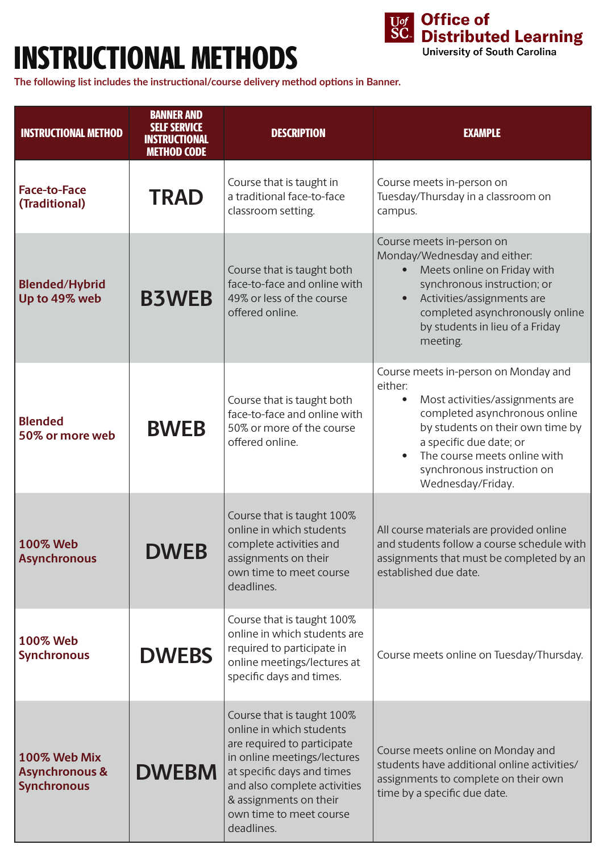## INSTRUCTIONAL METHODS



**The following list includes the instructional/course delivery method options in Banner.** 

| <b>INSTRUCTIONAL METHOD</b>                                     | <b>BANNER AND</b><br><b>SELF SERVICE</b><br><b>INSTRUCTIONAL</b><br><b>METHOD CODE</b> | <b>DESCRIPTION</b>                                                                                                                                                                                                                                    | <b>EXAMPLE</b>                                                                                                                                                                                                                                                                     |
|-----------------------------------------------------------------|----------------------------------------------------------------------------------------|-------------------------------------------------------------------------------------------------------------------------------------------------------------------------------------------------------------------------------------------------------|------------------------------------------------------------------------------------------------------------------------------------------------------------------------------------------------------------------------------------------------------------------------------------|
| <b>Face-to-Face</b><br>(Traditional)                            | <b>TRAD</b>                                                                            | Course that is taught in<br>a traditional face-to-face<br>classroom setting.                                                                                                                                                                          | Course meets in-person on<br>Tuesday/Thursday in a classroom on<br>campus.                                                                                                                                                                                                         |
| <b>Blended/Hybrid</b><br>Up to 49% web                          | <b>B3WEB</b>                                                                           | Course that is taught both<br>face-to-face and online with<br>49% or less of the course<br>offered online.                                                                                                                                            | Course meets in-person on<br>Monday/Wednesday and either:<br>Meets online on Friday with<br>synchronous instruction; or<br>Activities/assignments are<br>$\bullet$<br>completed asynchronously online<br>by students in lieu of a Friday<br>meeting.                               |
| <b>Blended</b><br>50% or more web                               | <b>BWEB</b>                                                                            | Course that is taught both<br>face-to-face and online with<br>50% or more of the course<br>offered online.                                                                                                                                            | Course meets in-person on Monday and<br>either:<br>Most activities/assignments are<br>$\bullet$<br>completed asynchronous online<br>by students on their own time by<br>a specific due date; or<br>The course meets online with<br>synchronous instruction on<br>Wednesday/Friday. |
| <b>100% Web</b><br><b>Asynchronous</b>                          | <b>DWEB</b>                                                                            | Course that is taught 100%<br>online in which students<br>complete activities and<br>assignments on their<br>own time to meet course<br>deadlines.                                                                                                    | All course materials are provided online<br>and students follow a course schedule with<br>assignments that must be completed by an<br>established due date.                                                                                                                        |
| 100% Web<br><b>Synchronous</b>                                  | <b>DWEBS</b>                                                                           | Course that is taught 100%<br>online in which students are<br>required to participate in<br>online meetings/lectures at<br>specific days and times.                                                                                                   | Course meets online on Tuesday/Thursday.                                                                                                                                                                                                                                           |
| 100% Web Mix<br><b>Asynchronous &amp;</b><br><b>Synchronous</b> | <b>DWEBM</b>                                                                           | Course that is taught 100%<br>online in which students<br>are required to participate<br>in online meetings/lectures<br>at specific days and times<br>and also complete activities<br>& assignments on their<br>own time to meet course<br>deadlines. | Course meets online on Monday and<br>students have additional online activities/<br>assignments to complete on their own<br>time by a specific due date.                                                                                                                           |